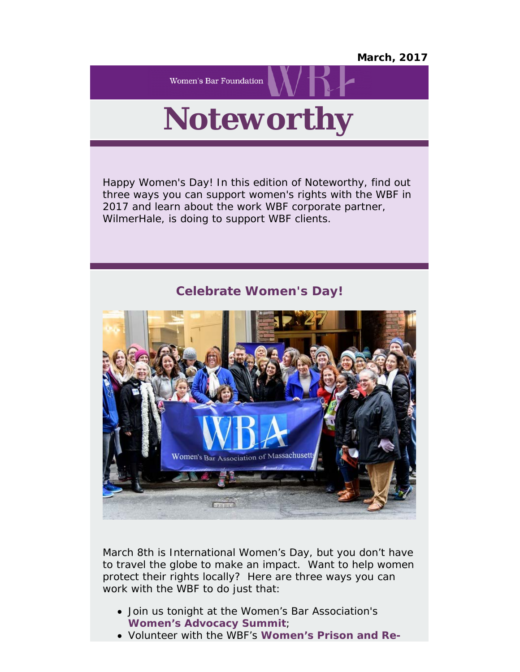## *March, 2017*

**Women's Bar Foundation** 

## *Noteworthy*

Happy Women's Day! In this edition of Noteworthy, find out three ways you can support women's rights with the WBF in 2017 and learn about the work WBF corporate partner, WilmerHale, is doing to support WBF clients.

## **Celebrate Women's Day!**



March 8th is International Women's Day, but you don't have to travel the globe to make an impact. Want to help women protect their rights locally? Here are three ways you can work with the WBF to do just that:

- Join us tonight at the Women's Bar Association's **[Women's](https://wbawbf.org/content/womens-advocacy-summit) [Advocacy Summit](https://wbawbf.org/content/womens-advocacy-summit)**;
- Volunteer with the WBF's **[Women's](https://wbawbf.org/wbf-projects/womens-prison-and-re-entry-project) [Prison and Re-](https://wbawbf.org/wbf-projects/womens-prison-and-re-entry-project)**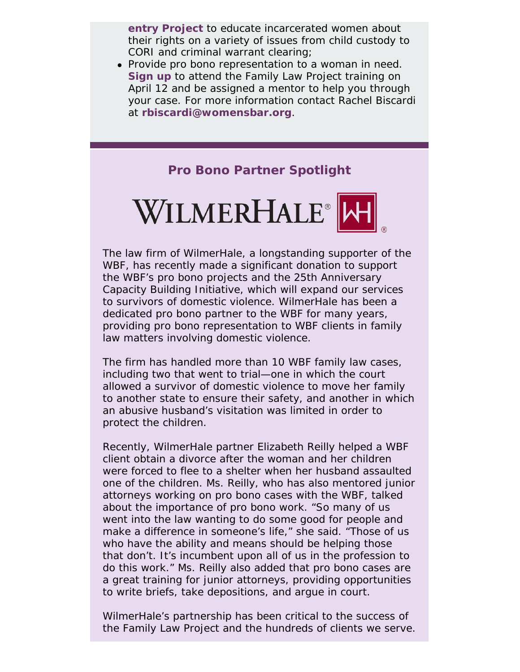**[entry Project](https://wbawbf.org/wbf-projects/womens-prison-and-re-entry-project)** to educate incarcerated women about their rights on a variety of issues from child custody to CORI and criminal warrant clearing;

Provide pro bono representation to a woman in need. **[Sign](https://wbawbf.org/wbf/flpapril2017) [up](https://wbawbf.org/wbf/flpapril2017)** to attend the Family Law Project training on April 12 and be assigned a mentor to help you through your case. For more information contact Rachel Biscardi at **[rbiscardi@womensbar.org](mailto:rbiscardi@womensbar.org)**.

**Pro Bono Partner Spotlight**



The law firm of WilmerHale, a longstanding supporter of the WBF, has recently made a significant donation to support the WBF's pro bono projects and the 25th Anniversary Capacity Building Initiative, which will expand our services to survivors of domestic violence. WilmerHale has been a dedicated pro bono partner to the WBF for many years, providing pro bono representation to WBF clients in family law matters involving domestic violence.

The firm has handled more than 10 WBF family law cases, including two that went to trial—one in which the court allowed a survivor of domestic violence to move her family to another state to ensure their safety, and another in which an abusive husband's visitation was limited in order to protect the children.

Recently, WilmerHale partner Elizabeth Reilly helped a WBF client obtain a divorce after the woman and her children were forced to flee to a shelter when her husband assaulted one of the children. Ms. Reilly, who has also mentored junior attorneys working on pro bono cases with the WBF, talked about the importance of pro bono work. "So many of us went into the law wanting to do some good for people and make a difference in someone's life," she said. "Those of us who have the ability and means should be helping those that don't. It's incumbent upon all of us in the profession to do this work." Ms. Reilly also added that pro bono cases are a great training for junior attorneys, providing opportunities to write briefs, take depositions, and argue in court.

WilmerHale's partnership has been critical to the success of the Family Law Project and the hundreds of clients we serve.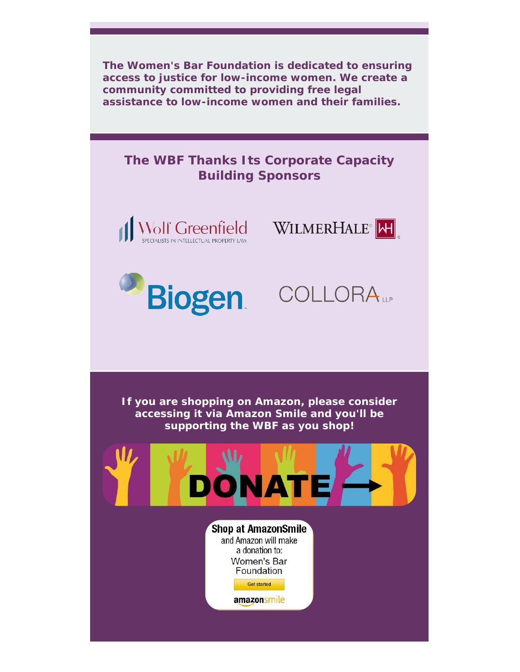*The Women's Bar Foundation is dedicated to ensuring access to justice for low-income women. We create a community committed to providing free legal assistance to low-income women and their families.*

## **The WBF Thanks Its Corporate Capacity Building Sponsors**









**If you are shopping on Amazon, please consider accessing it via Amazon Smile and you'll be supporting the WBF as you shop!**